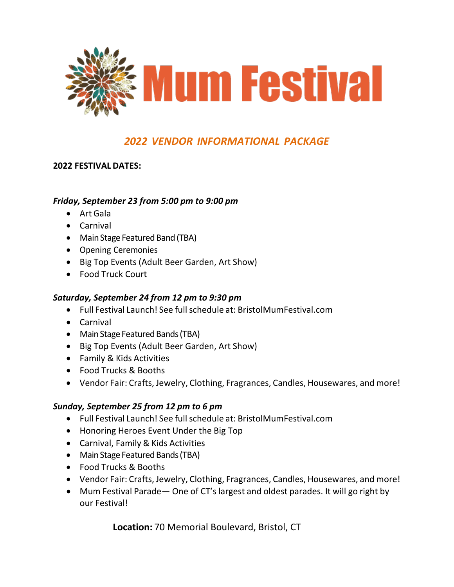

### **2022 FESTIVAL DATES:**

### *Friday, September 23 from 5:00 pm to 9:00 pm*

- Art Gala
- Carnival
- Main Stage Featured Band (TBA)
- Opening Ceremonies
- Big Top Events (Adult Beer Garden, Art Show)
- Food Truck Court

### *Saturday, September 24 from 12 pm to 9:30 pm*

- Full Festival Launch! See full schedule at: BristolMumFestival.com
- Carnival
- Main Stage Featured Bands (TBA)
- Big Top Events (Adult Beer Garden, Art Show)
- Family & Kids Activities
- Food Trucks & Booths
- Vendor Fair: Crafts, Jewelry, Clothing, Fragrances, Candles, Housewares, and more!

### *Sunday, September 25 from 12 pm to 6 pm*

- Full Festival Launch! See full schedule at: BristolMumFestival.com
- Honoring Heroes Event Under the Big Top
- Carnival, Family & Kids Activities
- Main Stage Featured Bands (TBA)
- Food Trucks & Booths
- Vendor Fair: Crafts, Jewelry, Clothing, Fragrances, Candles, Housewares, and more!
- Mum Festival Parade One of CT's largest and oldest parades. It will go right by our Festival!

**Location:** 70 Memorial Boulevard, Bristol, CT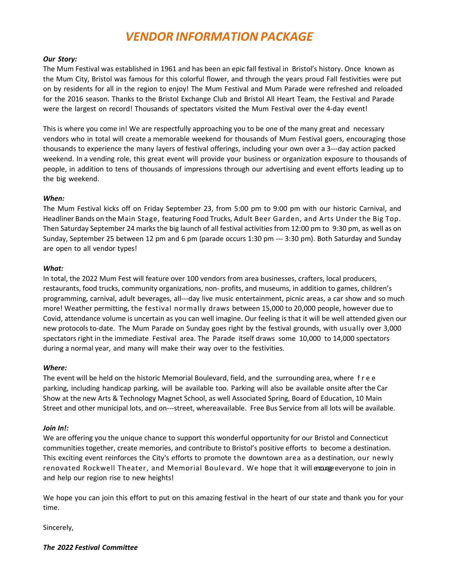#### *Our Story:*

The Mum Festival was established in 1961 and has been an epic fall festival in Bristol's history. Once known as the Mum City, Bristol was famous for this colorful flower, and through the years proud Fall festivities were put on by residents for all in the region to enjoy! The Mum Festival and Mum Parade were refreshed and reloaded for the 2016 season. Thanks to the Bristol Exchange Club and Bristol All Heart Team, the Festival and Parade were the largest on record! Thousands of spectators visited the Mum Festival over the 4-day event!

This is where you come in! We are respectfully approaching you to be one of the many great and necessary vendors who in total will create a memorable weekend for thousands of Mum Festival goers, encouraging those thousands to experience the many layers of festival offerings, including your own over a 3---day action packed weekend. In a vending role, this great event will provide your business or organization exposure to thousands of people, in addition to tens of thousands of impressions through our advertising and event efforts leading up to the big weekend.

#### *When:*

The Mum Festival kicks off on Friday September 23, from 5:00 pm to 9:00 pm with our historic Carnival, and Headliner Bands on the Main Stage, featuring Food Trucks, Adult Beer Garden, and Arts Under the Big Top. Then Saturday September 24 marks the big launch of all festival activities from 12:00 pm to 9:30 pm, as well as on Sunday, September 25 between 12 pm and 6 pm (parade occurs 1:30 pm --- 3:30 pm). Both Saturday and Sunday are open to all vendor types!

#### *What:*

In total, the 2022 Mum Fest will feature over 100 vendors from area businesses, crafters, local producers, restaurants, food trucks, community organizations, non- profits, and museums, in addition to games, children's programming, carnival, adult beverages, all---day live music entertainment, picnic areas, a car show and so much more! Weather permitting, the festival normally draws between 15,000 to 20,000 people, however due to Covid, attendance volume is uncertain as you can well imagine. Our feeling is that it will be well attended given our new protocols to-date. The Mum Parade on Sunday goes right by the festival grounds, with usually over 3,000 spectators right in the immediate Festival area. The Parade itself draws some 10,000 to 14,000 spectators during a normal year, and many will make their way over to the festivities.

#### *Where:*

The event will be held on the historic Memorial Boulevard, field, and the surrounding area, where f r e e parking, including handicap parking, will be available too. Parking will also be available onsite after the Car Show at the new Arts & Technology Magnet School, as well Associated Spring, Board of Education, 10 Main Street and other municipal lots, and on---street, whereavailable. Free Bus Service from all lots will be available.

#### *Join In!:*

We are offering you the unique chance to support this wonderful opportunity for our Bristol and Connecticut communities together, create memories, and contribute to Bristol's positive efforts to become a destination. This exciting event reinforces the City's efforts to promote the downtown area as a destination, our newly renovated Rockwell Theater, and Memorial Boulevard. We hope that it will encurre everyone to join in and help our region rise to new heights!

We hope you can join this effort to put on this amazing festival in the heart of our state and thank you for your time.

Sincerely,

*The 2022 Festival Committee*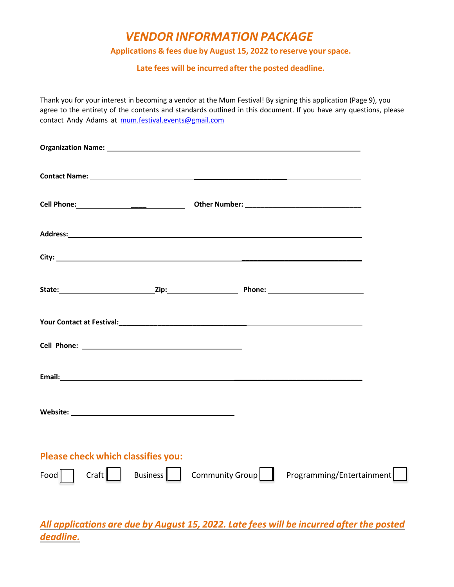### **Applications & fees due by August 15, 2022 to reserve your space.**

**Late fees will be incurred after the posted deadline.**

Thank you for your interest in becoming a vendor at the Mum Festival! By signing this application (Page 9), you agree to the entirety of the contents and standards outlined in this document. If you have any questions, please contact Andy Adams at [mum.festival.events@gmail.com](mailto:mum.festival.events@gmail.com)

| Please check which classifies you: |                                    |  |                           |  |
|------------------------------------|------------------------------------|--|---------------------------|--|
| $Food$                             | Craft   Business   Community Group |  | Programming/Entertainment |  |

*All applications are due by August 15, 2022. Late fees will be incurred after the posted deadline.*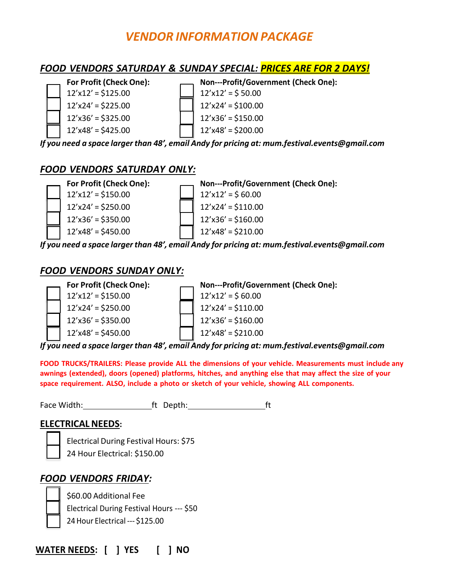## *FOOD VENDORS SATURDAY & SUNDAY SPECIAL: PRICES ARE FOR 2 DAYS!*



- 
- $12'x12' = $125.00$  12'x12' = \$ 50.00  $12'x24' = $225.00$  | 12'x24' = \$100.00  $12' \times 36' = $325.00$  12'x36' = \$150.00  $12' \times 48' = $425.00$  | 12'x48' = \$200.00
	-

*If you need a space larger than 48', email Andy for pricing at: [mum.festival.events@gmail.com](mailto:mum.festival.events@gmail.com)*

## *FOOD VENDORS SATURDAY ONLY:*



*If you need a space larger than 48', email Andy for pricing at: [mum.festival.events@gmail.com](mailto:mum.festival.events@gmail.com)*

## *FOOD VENDORS SUNDAY ONLY:*



*If you need a space larger than 48', email Andy for pricing at: [mum.festival.events@gmail.com](mailto:mum.festival.events@gmail.com)*

**FOOD TRUCKS/TRAILERS: Please provide ALL the dimensions of your vehicle. Measurements must include any awnings (extended), doors (opened) platforms, hitches, and anything else that may affect the size of your space requirement. ALSO, include a photo or sketch of your vehicle, showing ALL components.**

Face Width: Face Width: ft Depth: ft Depth:

### **ELECTRICALNEEDS:**

Electrical During Festival Hours: \$75 24 Hour Electrical: \$150.00

## *FOOD VENDORS FRIDAY:*



\$60.00 Additional Fee Electrical During Festival Hours --- \$50 24Hour Electrical --- \$125.00

**WATER NEEDS: [ ] YES [ ] NO**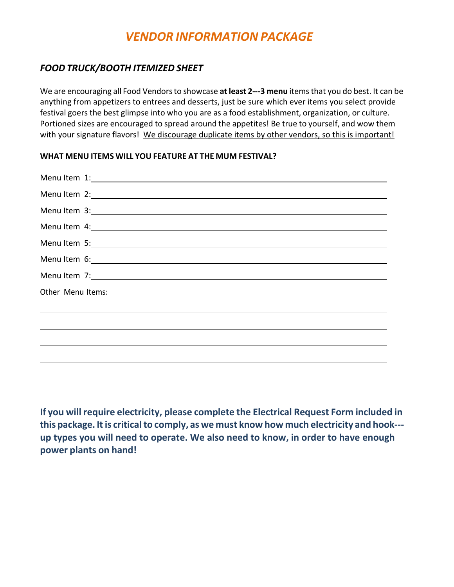### *FOOD TRUCK/BOOTH ITEMIZED SHEET*

We are encouraging all Food Vendorsto showcase **at least 2---3 menu** itemsthat you do best. It can be anything from appetizers to entrees and desserts, just be sure which ever items you select provide festival goers the best glimpse into who you are as a food establishment, organization, or culture. Portioned sizes are encouraged to spread around the appetites! Be true to yourself, and wow them with your signature flavors! We discourage duplicate items by other vendors, so this is important!

### **WHAT MENU ITEMS WILL YOU FEATURE AT THE MUM FESTIVAL?**

| Other Menu Items: 1999 Manual Manual Manual Manual Manual Manual Manual Manual Manual Manual Manual Manual Manual Manual Manual Manual Manual Manual Manual Manual Manual Manual Manual Manual Manual Manual Manual Manual Man |
|--------------------------------------------------------------------------------------------------------------------------------------------------------------------------------------------------------------------------------|
|                                                                                                                                                                                                                                |
|                                                                                                                                                                                                                                |
|                                                                                                                                                                                                                                |
|                                                                                                                                                                                                                                |
|                                                                                                                                                                                                                                |

**If you will require electricity, please complete the Electrical Request Form included in this package. Itis criticalto comply, as we must know how much electricity and hook-- up types you will need to operate. We also need to know, in order to have enough power plants on hand!**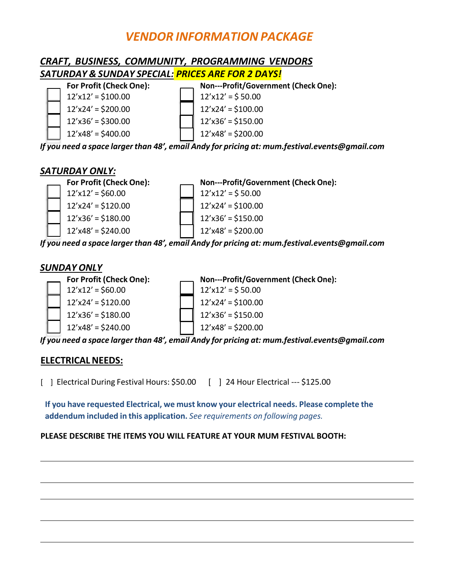## *CRAFT, BUSINESS, COMMUNITY, PROGRAMMING VENDORS SATURDAY & SUNDAY SPECIAL: PRICES ARE FOR 2 DAYS!*

**For Profit (Check One): Non---Profit/Government (Check One):**

- $12'x12' = $100.00$  12'x12' = \$ 50.00
- 
- $12' \times 48' = $400.00$  12'x48' = \$200.00
- $12'x24' = $200.00$  12'x24' = \$100.00  $12' \times 36' = $300.00$  | 12'x36' = \$150.00
	-

*If you need a space larger than 48', email Andy for pricing at: [mum.festival.events@gmail.com](mailto:mum.festival.events@gmail.com)*

## *SATURDAY ONLY:*



*If you need a space larger than 48', email Andy for pricing at: [mum.festival.events@gmail.com](mailto:mum.festival.events@gmail.com)*

## *SUNDAY ONLY*



*If you need a space larger than 48', email Andy for pricing at: [mum.festival.events@gmail.com](mailto:mum.festival.events@gmail.com)*

## **ELECTRICALNEEDS:**

[ ] Electrical During Festival Hours: \$50.00 [ ] 24 Hour Electrical --- \$125.00

**If you have requested Electrical, we must know your electrical needs. Please complete the addendum included in this application.** *See requirements on following pages.*

### **PLEASE DESCRIBE THE ITEMS YOU WILL FEATURE AT YOUR MUM FESTIVAL BOOTH:**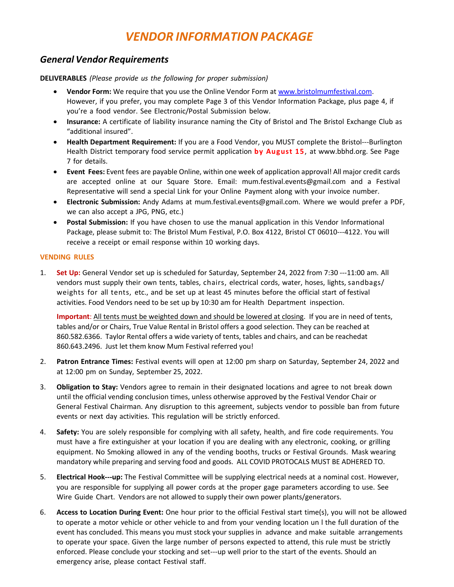### *General Vendor Requirements*

**DELIVERABLES** *(Please provide us the following for proper submission)*

- **Vendor Form:** We require that you use the Online Vendor Form at [www.bristolmumfestival.com.](http://www.bristolmumfestival.com/) However, if you prefer, you may complete Page 3 of this Vendor Information Package, plus page 4, if you're a food vendor. See Electronic/Postal Submission below.
- **Insurance:** A certificate of liability insurance naming the City of Bristol and The Bristol Exchange Club as "additional insured".
- **Health Department Requirement:** If you are a Food Vendor, you MUST complete the Bristol---Burlington Health District temporary food service permit application **by August 15**, at [www.bbhd.org.](http://www.bbhd.org/) See Page 7 for details.
- **Event Fees:** Event fees are payable Online, within one week of application approval! All major credit cards are accepted online at our Square Store. Email: [mum.festival.events@gmail.com](mailto:mum.festival.events@gmail.com) and a Festival Representative will send a special Link for your Online Payment along with your invoice number.
- **Electronic Submission:** Andy Adams at [mum.festival.events@gmail.com.](mailto:mum.festival.events@gmail.com) Where we would prefer a PDF, we can also accept a JPG, PNG, etc.)
- **Postal Submission:** If you have chosen to use the manual application in this Vendor Informational Package, please submit to: The Bristol Mum Festival, P.O. Box 4122, Bristol CT 06010---4122. You will receive a receipt or email response within 10 working days.

#### **VENDING RULES**

1. **Set Up:** General Vendor set up is scheduled for Saturday, September 24, 2022 from 7:30 ---11:00 am. All vendors must supply their own tents, tables, chairs, electrical cords, water, hoses, lights, sandbags/ weights for all tents, etc., and be set up at least 45 minutes before the official start of festival activities. Food Vendors need to be set up by 10:30 am for Health Department inspection.

**Important**: All tents must be weighted down and should be lowered at closing. If you are in need of tents, tables and/or or Chairs, True Value Rental in Bristol offers a good selection. They can be reached at 860.582.6366. Taylor Rental offers a wide variety of tents, tables and chairs, and can be reachedat 860.643.2496. Just let them know Mum Festival referred you!

- 2. **Patron Entrance Times:** Festival events will open at 12:00 pm sharp on Saturday, September 24, 2022 and at 12:00 pm on Sunday, September 25, 2022.
- 3. **Obligation to Stay:** Vendors agree to remain in their designated locations and agree to not break down until the official vending conclusion times, unless otherwise approved by the Festival Vendor Chair or General Festival Chairman. Any disruption to this agreement, subjects vendor to possible ban from future events or next day activities. This regulation will be strictly enforced.
- 4. **Safety:** You are solely responsible for complying with all safety, health, and fire code requirements. You must have a fire extinguisher at your location if you are dealing with any electronic, cooking, or grilling equipment. No Smoking allowed in any of the vending booths, trucks or Festival Grounds. Mask wearing mandatory while preparing and serving food and goods. ALL COVID PROTOCALS MUST BE ADHERED TO.
- 5. **Electrical Hook---up:** The Festival Committee will be supplying electrical needs at a nominal cost. However, you are responsible for supplying all power cords at the proper gage parameters according to use. See Wire Guide Chart. Vendors are not allowed to supply their own power plants/generators.
- 6. **Access to Location During Event:** One hour prior to the official Festival start time(s), you will not be allowed to operate a motor vehicle or other vehicle to and from your vending location un l the full duration of the event has concluded. This means you must stock your supplies in advance and make suitable arrangements to operate your space. Given the large number of persons expected to attend, this rule must be strictly enforced. Please conclude your stocking and set---up well prior to the start of the events. Should an emergency arise, please contact Festival staff.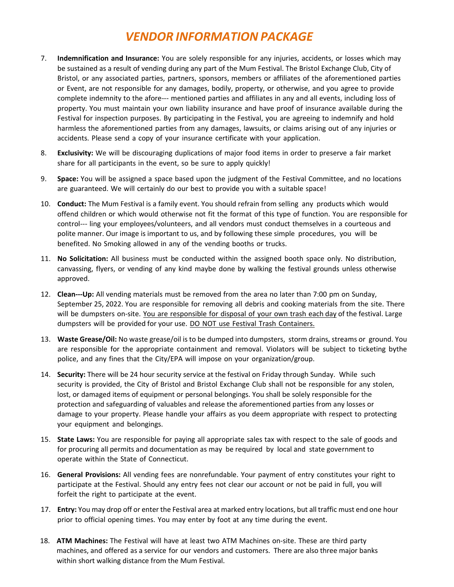- 7. **Indemnification and Insurance:** You are solely responsible for any injuries, accidents, or losses which may be sustained as a result of vending during any part of the Mum Festival. The Bristol Exchange Club, City of Bristol, or any associated parties, partners, sponsors, members or affiliates of the aforementioned parties or Event, are not responsible for any damages, bodily, property, or otherwise, and you agree to provide complete indemnity to the afore--- mentioned parties and affiliates in any and all events, including loss of property. You must maintain your own liability insurance and have proof of insurance available during the Festival for inspection purposes. By participating in the Festival, you are agreeing to indemnify and hold harmless the aforementioned parties from any damages, lawsuits, or claims arising out of any injuries or accidents. Please send a copy of your insurance certificate with your application.
- 8. **Exclusivity:** We will be discouraging duplications of major food items in order to preserve a fair market share for all participants in the event, so be sure to apply quickly!
- 9. **Space:** You will be assigned a space based upon the judgment of the Festival Committee, and no locations are guaranteed. We will certainly do our best to provide you with a suitable space!
- 10. **Conduct:** The Mum Festival is a family event. You should refrain from selling any products which would offend children or which would otherwise not fit the format of this type of function. You are responsible for control--- ling your employees/volunteers, and all vendors must conduct themselves in a courteous and polite manner. Our image is important to us, and by following these simple procedures, you will be benefited. No Smoking allowed in any of the vending booths or trucks.
- 11. **No Solicitation:** All business must be conducted within the assigned booth space only. No distribution, canvassing, flyers, or vending of any kind maybe done by walking the festival grounds unless otherwise approved.
- 12. **Clean---Up:** All vending materials must be removed from the area no later than 7:00 pm on Sunday, September 25, 2022. You are responsible for removing all debris and cooking materials from the site. There will be dumpsters on-site. You are responsible for disposal of your own trash each day of the festival. Large dumpsters will be provided for your use. DO NOT use Festival Trash Containers.
- 13. **Waste Grease/Oil:** No waste grease/oil is to be dumped into dumpsters, storm drains, streams or ground. You are responsible for the appropriate containment and removal. Violators will be subject to ticketing bythe police, and any fines that the City/EPA will impose on your organization/group.
- 14. **Security:** There will be 24 hour security service at the festival on Friday through Sunday. While such security is provided, the City of Bristol and Bristol Exchange Club shall not be responsible for any stolen, lost, or damaged items of equipment or personal belongings. You shall be solely responsible for the protection and safeguarding of valuables and release the aforementioned parties from any losses or damage to your property. Please handle your affairs as you deem appropriate with respect to protecting your equipment and belongings.
- 15. **State Laws:** You are responsible for paying all appropriate sales tax with respect to the sale of goods and for procuring all permits and documentation as may be required by local and state government to operate within the State of Connecticut.
- 16. **General Provisions:** All vending fees are nonrefundable. Your payment of entry constitutes your right to participate at the Festival. Should any entry fees not clear our account or not be paid in full, you will forfeit the right to participate at the event.
- 17. **Entry:** You may drop off or enter the Festival area at marked entry locations, but all traffic must end one hour prior to official opening times. You may enter by foot at any time during the event.
- 18. **ATM Machines:** The Festival will have at least two ATM Machines on-site. These are third party machines, and offered as a service for our vendors and customers. There are also three major banks within short walking distance from the Mum Festival.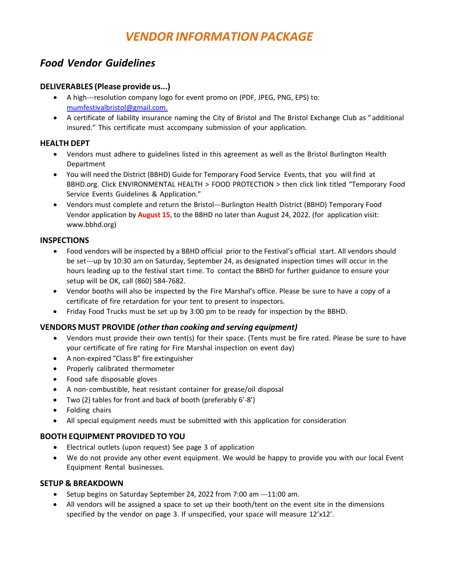## *Food Vendor Guidelines*

### **DELIVERABLES (Please provide us...)**

- A high---resolution company logo for event promo on (PDF, JPEG, PNG, EPS) to: [mumfestivalbristol@gmail.com.](mailto:mumfestivalbristol@gmail.com)
- A certificate of liability insurance naming the City of Bristol and The Bristol Exchange Club as " additional insured." This certificate must accompany submission of your application.

### **HEALTH DEPT**

- Vendors must adhere to guidelines listed in this agreement as well as the Bristol Burlington Health Department
- You will need the District (BBHD) Guide for Temporary Food Service Events, that you will find at BBHD.org. Click ENVIRONMENTAL HEALTH > FOOD PROTECTION > then click link titled "Temporary Food Service Events Guidelines & Application."
- Vendors must complete and return the Bristol---Burlington Health District (BBHD) Temporary Food Vendor application by **August 15**, to the BBHD no later than August 24, 2022. (for application visit: www.bbhd.org)

### **INSPECTIONS**

- Food vendors will be inspected by a BBHD official prior to the Festival's official start. All vendors should be set---up by 10:30 am on Saturday, September 24, as designated inspection times will occur in the hours leading up to the festival start time. To contact the BBHD for further guidance to ensure your setup will be OK, call (860) 584-7682.
- Vendor booths will also be inspected by the Fire Marshal's office. Please be sure to have a copy of a certificate of fire retardation for your tent to present to inspectors.
- Friday Food Trucks must be set up by 3:00 pm to be ready for inspection by the BBHD.

### **VENDORS MUST PROVIDE** *(other than cooking and serving equipment)*

- Vendors must provide their own tent(s) for their space. (Tents must be fire rated. Please be sure to have your certificate of fire rating for Fire Marshal inspection on event day)
- A non-expired "Class B" fire extinguisher
- Properly calibrated thermometer
- Food safe disposable gloves
- A non-combustible, heat resistant container for grease/oil disposal
- Two (2) tables for front and back of booth (preferably 6'-8')
- Folding chairs
- All special equipment needs must be submitted with this application for consideration

### **BOOTH EQUIPMENT PROVIDED TO YOU**

- Electrical outlets (upon request) See page 3 of application
- We do not provide any other event equipment. We would be happy to provide you with our local Event Equipment Rental businesses.

#### **SETUP & BREAKDOWN**

- Setup begins on Saturday September 24, 2022 from 7:00 am ---11:00 am.
- All vendors will be assigned a space to set up their booth/tent on the event site in the dimensions specified by the vendor on page 3. If unspecified, your space will measure 12'x12'.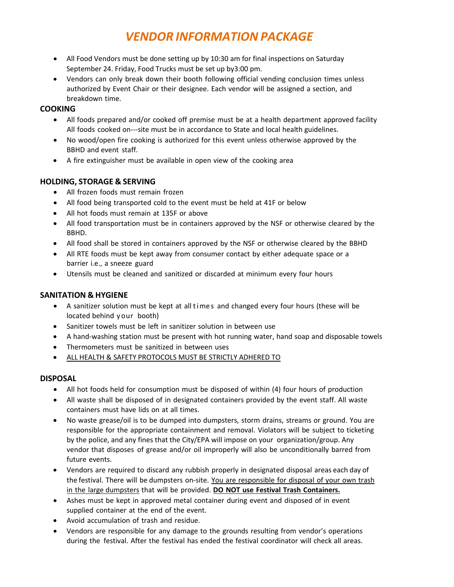- All Food Vendors must be done setting up by 10:30 am for final inspections on Saturday September 24. Friday, Food Trucks must be set up by3:00 pm.
- Vendors can only break down their booth following official vending conclusion times unless authorized by Event Chair or their designee. Each vendor will be assigned a section, and breakdown time.

### **COOKING**

- All foods prepared and/or cooked off premise must be at a health department approved facility All foods cooked on---site must be in accordance to State and local health guidelines.
- No wood/open fire cooking is authorized for this event unless otherwise approved by the BBHD and event staff.
- A fire extinguisher must be available in open view of the cooking area

### **HOLDING, STORAGE & SERVING**

- All frozen foods must remain frozen
- All food being transported cold to the event must be held at 41F or below
- All hot foods must remain at 135F or above
- All food transportation must be in containers approved by the NSF or otherwise cleared by the BBHD.
- All food shall be stored in containers approved by the NSF or otherwise cleared by the BBHD
- All RTE foods must be kept away from consumer contact by either adequate space or a barrier i.e., a sneeze guard
- Utensils must be cleaned and sanitized or discarded at minimum every four hours

### **SANITATION & HYGIENE**

- A sanitizer solution must be kept at all time s and changed every four hours (these will be located behind your booth)
- Sanitizer towels must be left in sanitizer solution in between use
- A hand-washing station must be present with hot running water, hand soap and disposable towels
- Thermometers must be sanitized in between uses
- ALL HEALTH & SAFETY PROTOCOLS MUST BE STRICTLY ADHERED TO

#### **DISPOSAL**

- All hot foods held for consumption must be disposed of within (4) four hours of production
- All waste shall be disposed of in designated containers provided by the event staff. All waste containers must have lids on at all times.
- No waste grease/oil is to be dumped into dumpsters, storm drains, streams or ground. You are responsible for the appropriate containment and removal. Violators will be subject to ticketing by the police, and any fines that the City/EPA will impose on your organization/group. Any vendor that disposes of grease and/or oil improperly will also be unconditionally barred from future events.
- Vendors are required to discard any rubbish properly in designated disposal areas each day of the festival. There will be dumpsters on-site. You are responsible for disposal of your own trash in the large dumpsters that will be provided. **DO NOT use Festival Trash Containers.**
- Ashes must be kept in approved metal container during event and disposed of in event supplied container at the end of the event.
- Avoid accumulation of trash and residue.
- Vendors are responsible for any damage to the grounds resulting from vendor's operations during the festival. After the festival has ended the festival coordinator will check all areas.